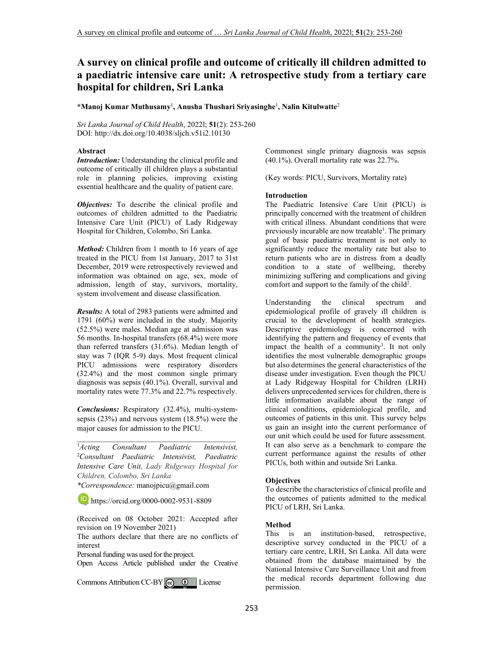# **A survey on clinical profile and outcome of critically ill children admitted to a paediatric intensive care unit: A retrospective study from a tertiary care hospital for children, Sri Lanka**

**\*Manoj Kumar Muthusamy**<sup>1</sup> **, Anusha Thushari Sriyasinghe**<sup>1</sup> **, Nalin Kitulwatte**<sup>2</sup>

*Sri Lanka Journal of Child Health*, 2022l; **51**(2): 253-260 DOI: http://dx.doi.org/10.4038/sljch.v51i2.10130

### **Abstract**

*Introduction:* Understanding the clinical profile and outcome of critically ill children plays a substantial role in planning policies, improving existing essential healthcare and the quality of patient care.

*Objectives:* To describe the clinical profile and outcomes of children admitted to the Paediatric Intensive Care Unit (PICU) of Lady Ridgeway Hospital for Children, Colombo, Sri Lanka.

*Method:* Children from 1 month to 16 years of age treated in the PICU from 1st January, 2017 to 31st December, 2019 were retrospectively reviewed and information was obtained on age, sex, mode of admission, length of stay, survivors, mortality, system involvement and disease classification.

*Results:* A total of 2983 patients were admitted and 1791 (60%) were included in the study. Majority (52.5%) were males. Median age at admission was 56 months. In-hospital transfers (68.4%) were more than referred transfers (31.6%). Median length of stay was 7 (IQR 5-9) days. Most frequent clinical PICU admissions were respiratory disorders (32.4%) and the most common single primary diagnosis was sepsis (40.1%). Overall, survival and mortality rates were 77.3% and 22.7% respectively.

*Conclusions:* Respiratory (32.4%), multi-systemsepsis (23%) and nervous system (18.5%) were the major causes for admission to the PICU.

\_\_\_\_\_\_\_\_\_\_\_\_\_\_\_\_\_\_\_\_\_\_\_\_\_\_\_\_\_\_\_\_\_\_\_\_\_\_\_\_\_

<sup>1</sup>*Acting Consultant Paediatric Intensivist,*  <sup>2</sup>*Consultant Paediatric Intensivist, Paediatric Intensive Care Unit, Lady Ridgeway Hospital for Children, Colombo, Sri Lanka* 

*\*Correspondence:* manojpicu@gmail.com

**b**. https://orcid.org/0000-0002-9531-8809

(Received on 08 October 2021: Accepted after revision on 19 November 2021)

The authors declare that there are no conflicts of interest

Personal funding was used for the project.

Open Access Article published under the Creative

CommonsAttribution CC-BY $\big| \mathbf{G} \big|$   $\mathbf{0}$  License

Commonest single primary diagnosis was sepsis (40.1%). Overall mortality rate was 22.7%.

(Key words: PICU, Survivors, Mortality rate)

#### **Introduction**

The Paediatric Intensive Care Unit (PICU) is principally concerned with the treatment of children with critical illness. Abundant conditions that were previously incurable are now treatable<sup>1</sup>. The primary goal of basic paediatric treatment is not only to significantly reduce the mortality rate but also to return patients who are in distress from a deadly condition to a state of wellbeing, thereby minimizing suffering and complications and giving comfort and support to the family of the child<sup>2</sup>.

Understanding the clinical spectrum and epidemiological profile of gravely ill children is crucial to the development of health strategies. Descriptive epidemiology is concerned with identifying the pattern and frequency of events that impact the health of a community<sup>3</sup>. It not only identifies the most vulnerable demographic groups but also determines the general characteristics of the disease under investigation. Even though the PICU at Lady Ridgeway Hospital for Children (LRH) delivers unprecedented services for children, there is little information available about the range of clinical conditions, epidemiological profile, and outcomes of patients in this unit. This survey helps us gain an insight into the current performance of our unit which could be used for future assessment. It can also serve as a benchmark to compare the current performance against the results of other PICUs, both within and outside Sri Lanka.

#### **Objectives**

To describe the characteristics of clinical profile and the outcomes of patients admitted to the medical PICU of LRH, Sri Lanka.

## **Method**

This is an institution-based, retrospective, descriptive survey conducted in the PICU of a tertiary care centre, LRH, Sri Lanka. All data were obtained from the database maintained by the National Intensive Care Surveillance Unit and from the medical records department following due permission.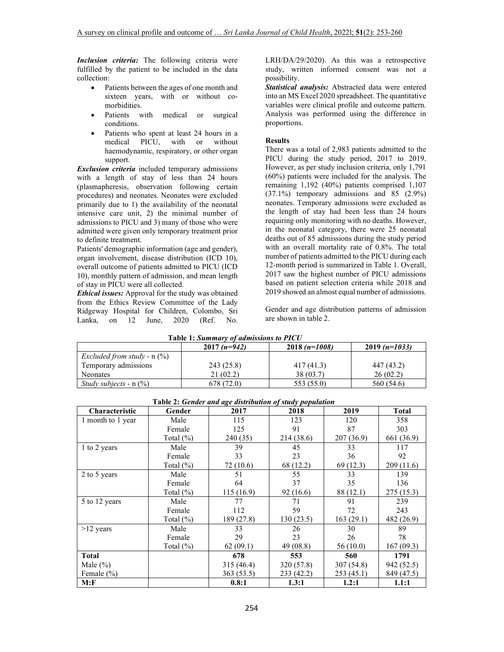*Inclusion criteria:* The following criteria were fulfilled by the patient to be included in the data collection:

- Patients between the ages of one month and sixteen years, with or without comorbidities.
- Patients with medical or surgical conditions.
- Patients who spent at least 24 hours in a medical PICU, with or without haemodynamic, respiratory, or other organ support.

*Exclusion criteria* included temporary admissions with a length of stay of less than 24 hours (plasmapheresis, observation following certain procedures) and neonates. Neonates were excluded primarily due to 1) the availability of the neonatal intensive care unit, 2) the minimal number of admissions to PICU and 3) many of those who were admitted were given only temporary treatment prior to definite treatment.

Patients' demographic information (age and gender), organ involvement, disease distribution (ICD 10), overall outcome of patients admitted to PICU (ICD 10), monthly pattern of admission, and mean length of stay in PICU were all collected.

*Ethical issues:* Approval for the study was obtained from the Ethics Review Committee of the Lady Ridgeway Hospital for Children, Colombo, Sri Lanka, on 12 June, 2020 (Ref. No.

LRH/DA/29/2020). As this was a retrospective study, written informed consent was not a possibility.

*Statistical analysis:* Abstracted data were entered into an MS Excel 2020 spreadsheet. The quantitative variables were clinical profile and outcome pattern. Analysis was performed using the difference in proportions.

## **Results**

There was a total of 2,983 patients admitted to the PICU during the study period, 2017 to 2019. However, as per study inclusion criteria, only 1,791 (60%) patients were included for the analysis. The remaining 1,192 (40%) patients comprised 1,107 (37.1%) temporary admissions and 85 (2.9%) neonates. Temporary admissions were excluded as the length of stay had been less than 24 hours requiring only monitoring with no deaths. However, in the neonatal category, there were 25 neonatal deaths out of 85 admissions during the study period with an overall mortality rate of 0.8%. The total number of patients admitted to the PICU during each 12-month period is summarized in Table 1. Overall, 2017 saw the highest number of PICU admissions based on patient selection criteria while 2018 and 2019 showed an almost equal number of admissions.

Gender and age distribution patterns of admission are shown in table 2.

|                                       | $2017(n=942)$ | $2018(n=1008)$ | $2019(n=1033)$ |
|---------------------------------------|---------------|----------------|----------------|
| <i>Excluded from study - n</i> $(\%)$ |               |                |                |
| Temporary admissions                  | 243 (25.8)    | 417 (41.3)     | 447 (43.2)     |
| <b>Neonates</b>                       | 21(02.2)      | 38 (03.7)      | 26(02.2)       |
| <i>Study subjects - n</i> $(\%)$      | 678 (72.0)    | 553 (55.0)     | 560 (54.6)     |

| Table 1: Summary of admissions to PICU |
|----------------------------------------|
|----------------------------------------|

| <b>Lable 2: Genaer and age alstribution of study population</b> |               |            |            |            |              |  |
|-----------------------------------------------------------------|---------------|------------|------------|------------|--------------|--|
| Characteristic                                                  | Gender        | 2017       | 2018       | 2019       | <b>Total</b> |  |
| 1 month to 1 year                                               | Male          | 115        | 123        | 120        | 358          |  |
|                                                                 | Female        | 125        | 91         | 87         | 303          |  |
|                                                                 | Total $(\% )$ | 240 (35)   | 214 (38.6) | 207(36.9)  | 661 (36.9)   |  |
| 1 to 2 years                                                    | Male          | 39         | 45         | 33         | 117          |  |
|                                                                 | Female        | 33         | 23         | 36         | 92           |  |
|                                                                 | Total $(\%)$  | 72(10.6)   | 68 (12.2)  | 69 (12.3)  | 209(11.6)    |  |
| 2 to 5 years                                                    | Male          | 51         | 55         | 33         | 139          |  |
|                                                                 | Female        | 64         | 37         | 35         | 136          |  |
|                                                                 | Total $(\% )$ | 115(16.9)  | 92 (16.6)  | 88 (12.1)  | 275 (15.3)   |  |
| 5 to 12 years                                                   | Male          | 77         | 71         | 91         | 239          |  |
|                                                                 | Female        | 112        | 59         | 72         | 243          |  |
|                                                                 | Total $(\% )$ | 189 (27.8) | 130(23.5)  | 163(29.1)  | 482 (26.9)   |  |
| $>12$ years                                                     | Male          | 33         | 26         | 30         | 89           |  |
|                                                                 | Female        | 29         | 23         | 26         | 78           |  |
|                                                                 | Total $(\% )$ | 62(09.1)   | 49 (08.8)  | 56 (10.0)  | 167(09.3)    |  |
| <b>Total</b>                                                    |               | 678        | 553        | 560        | 1791         |  |
| Male $(\% )$                                                    |               | 315 (46.4) | 320 (57.8) | 307 (54.8) | 942 (52.5)   |  |
| Female $(\% )$                                                  |               | 363 (53.5) | 233 (42.2) | 253(45.1)  | 849 (47.5)   |  |
| M: F                                                            |               | 0.8:1      | 1.3:1      | 1.2:1      | 1.1:1        |  |

 **Table 2:** *Gender and age distribution of study population*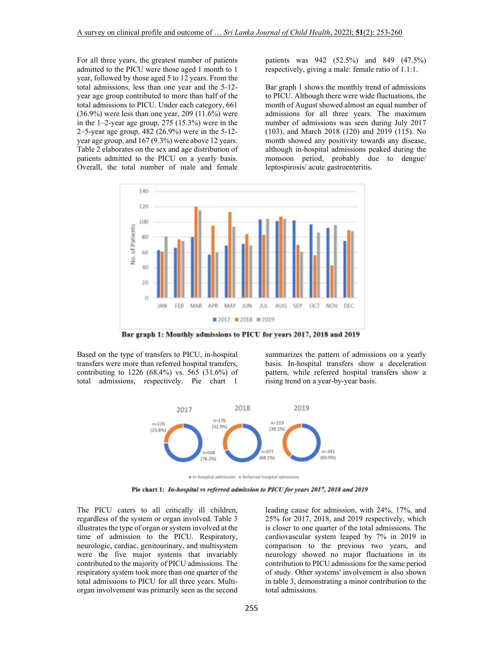For all three years, the greatest number of patients admitted to the PICU were those aged 1 month to 1 year, followed by those aged 5 to 12 years. From the total admissions, less than one year and the 5-12 year age group contributed to more than half of the total admissions to PICU. Under each category, 661 (36.9%) were less than one year, 209 (11.6%) were in the 1–2-year age group, 275 (15.3%) were in the 2–5-year age group, 482 (26.9%) were in the 5-12 year age group, and 167 (9.3%) were above 12 years. Table 2 elaborates on the sex and age distribution of patients admitted to the PICU on a yearly basis. Overall, the total number of male and female

patients was 942 (52.5%) and 849 (47.5%) respectively, giving a male: female ratio of 1.1:1.

Bar graph 1 shows the monthly trend of admissions to PICU. Although there were wide fluctuations, the month of August showed almost an equal number of admissions for all three years. The maximum number of admissions was seen during July 2017 (103), and March 2018 (120) and 2019 (115). No month showed any positivity towards any disease, although in-hospital admissions peaked during the monsoon period, probably due to dengue/ leptospirosis/ acute gastroenteritis.



Bar graph 1: Monthly admissions to PICU for years 2017, 2018 and 2019

Based on the type of transfers to PICU, in-hospital transfers were more than referred hospital transfers, contributing to 1226 (68.4%) vs. 565 (31.6%) of total admissions, respectively. Pie chart 1

summarizes the pattern of admissions on a yearly basis. In-hospital transfers show a deceleration pattern, while referred hospital transfers show a rising trend on a year-by-year basis.



In-hospital admission Referred hospital admission

Pie chart 1: In-hospital vs referred admission to PICU for years 2017, 2018 and 2019

The PICU caters to all critically ill children, regardless of the system or organ involved. Table 3 illustrates the type of organ or system involved at the time of admission to the PICU. Respiratory, neurologic, cardiac, genitourinary, and multisystem were the five major systems that invariably contributed to the majority of PICU admissions. The respiratory system took more than one quarter of the total admissions to PICU for all three years. Multiorgan involvement was primarily seen as the second

leading cause for admission, with 24%, 17%, and 25% for 2017, 2018, and 2019 respectively, which is closer to one quarter of the total admissions. The cardiovascular system leaped by 7% in 2019 in comparison to the previous two years, and neurology showed no major fluctuations in its contribution to PICU admissions for the same period of study. Other systems' involvement is also shown in table 3, demonstrating a minor contribution to the total admissions.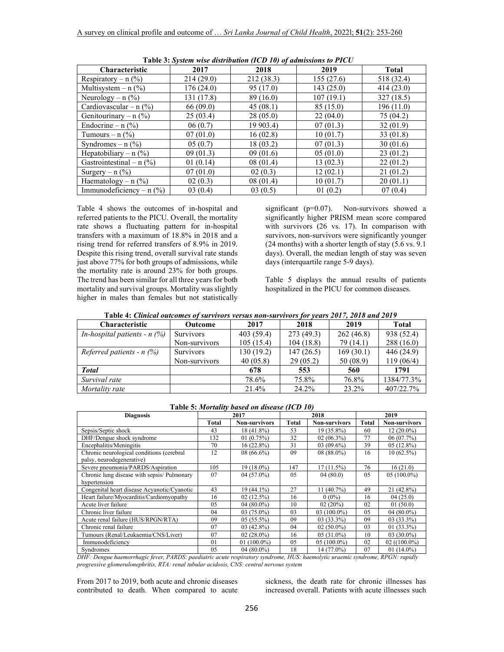| <b>Characteristic</b>                    | 2017       | 2018       | 2019      | <b>Total</b> |
|------------------------------------------|------------|------------|-----------|--------------|
| Respiratory – $n$ (%)                    | 214(29.0)  | 212 (38.3) | 155(27.6) | 518 (32.4)   |
| Multisystem – $n$ (%)                    | 176(24.0)  | 95 (17.0)  | 143(25.0) | 414 (23.0)   |
| Neurology – $n$ (%)                      | 131 (17.8) | 89 (16.0)  | 107(19.1) | 327(18.5)    |
| Cardiovascular – n $(\%)$                | 66(09.0)   | 45(08.1)   | 85 (15.0) | 196 (11.0)   |
| Genitourinary – $n$ (%)                  | 25(03.4)   | 28(05.0)   | 22(04.0)  | 75 (04.2)    |
| Endocrine – $n$ (%)                      | 06(0.7)    | 19 903.4)  | 07(01.3)  | 32(01.9)     |
| Tumours – $n$ $(\%)$                     | 07(01.0)   | 16(02.8)   | 10(01.7)  | 33(01.8)     |
| Syndromes – $n$ $(\%)$                   | 05(0.7)    | 18(03.2)   | 07(01.3)  | 30(01.6)     |
| Hepatobiliary – $n$ (%)                  | 09(01.3)   | 09(01.6)   | 05(01.0)  | 23(01.2)     |
| Gastrointestinal – n $(\%)$              | 01(0.14)   | 08(01.4)   | 13(02.3)  | 22(01.2)     |
| Surgery $- n$ $\left(\frac{9}{6}\right)$ | 07(01.0)   | 02(0.3)    | 12(02.1)  | 21(01.2)     |
| Haematology – $n$ (%)                    | 02(0.3)    | 08(01.4)   | 10(01.7)  | 20(01.1)     |
| Immunodeficiency – $n$ (%)               | 03(0.4)    | 03(0.5)    | 01(0.2)   | 07(0.4)      |

 **Table 3:** *System wise distribution (ICD 10) of admissions to PICU*

Table 4 shows the outcomes of in-hospital and referred patients to the PICU. Overall, the mortality rate shows a fluctuating pattern for in-hospital transfers with a maximum of 18.8% in 2018 and a rising trend for referred transfers of 8.9% in 2019. Despite this rising trend, overall survival rate stands just above 77% for both groups of admissions, while the mortality rate is around 23% for both groups. The trend has been similar for all three years for both mortality and survival groups. Mortality was slightly higher in males than females but not statistically significant (p=0.07). Non-survivors showed a significantly higher PRISM mean score compared with survivors (26 vs. 17). In comparison with survivors, non-survivors were significantly younger (24 months) with a shorter length of stay (5.6 vs. 9.1 days). Overall, the median length of stay was seven days (interquartile range 5-9 days).

Table 5 displays the annual results of patients hospitalized in the PICU for common diseases.

| <b>Characteristic</b>          | <b>Outcome</b>   | 2017       | 2018       | 2019      | <b>Total</b> |
|--------------------------------|------------------|------------|------------|-----------|--------------|
| In-hospital patients - $n$ (%) | <b>Survivors</b> | 403 (59.4) | 273 (49.3) | 262(46.8) | 938 (52.4)   |
|                                | Non-survivors    | 105(15.4)  | 104(18.8)  | 79 (14.1) | 288 (16.0)   |
| Referred patients - $n$ (%)    | <b>Survivors</b> | 130(19.2)  | 147(26.5)  | 169(30.1) | 446 (24.9)   |
|                                | Non-survivors    | 40(05.8)   | 29(05.2)   | 50 (08.9) | 119(06/4)    |
| <b>Total</b>                   |                  | 678        | 553        | 560       | 1791         |
| Survival rate                  |                  | 78.6%      | 75.8%      | 76.8%     | 1384/77.3%   |
| Mortality rate                 |                  | 21.4%      | 24.2%      | 23.2%     | 407/22.7%    |

 **Table 5:** *Mortality based on disease (ICD 10)* 

| <b>Diagnosis</b>                            | 2017         |                      | 2018                  |                      | 2019         |                      |
|---------------------------------------------|--------------|----------------------|-----------------------|----------------------|--------------|----------------------|
|                                             | <b>Total</b> | <b>Non-survivors</b> | <b>Total</b>          | <b>Non-survivors</b> | <b>Total</b> | <b>Non-survivors</b> |
| Sepsis/Septic shock                         | 43           | 18 (41.8%)           | 53                    | $19(35.8\%)$         | 60           | $12(20.0\%)$         |
| DHF/Dengue shock syndrome                   | 132          | 01(0.75%)            | 32                    | $02(06.3\%)$         | 77           | 06(07.7%)            |
| Encephalitis/Meningitis                     | 70           | $16(22.8\%)$         | 31                    | $03(09.6\%)$         | 39           | $05(12.8\%)$         |
| Chronic neurological conditions (cerebral   | 12           | $08(66.6\%)$         | 09                    | $08(88.0\%)$         | 16           | $10(62.5\%)$         |
| palsy, neurodegenerative)                   |              |                      |                       |                      |              |                      |
| Severe pneumonia/PARDS/Aspiration           | 105          | $19(18.0\%)$         | 147                   | $17(11.5\%)$         | 76           | 16(21.0)             |
| Chronic lung disease with sepsis/ Pulmonary | 07           | $04(57.0\%)$         | 05                    | 04(80.0)             | 05           | $05(100.0\%)$        |
| hypertension                                |              |                      |                       |                      |              |                      |
| Congenital heart disease Acyanotic/Cyanotic | 43           | 19 (44.1%)           | 27                    | $11(40.7\%)$         | 49           | $21(42.8\%)$         |
| Heart failure/Myocarditis/Cardiomyopathy    | 16           | $02(12.5\%)$         | 16                    | $0(0\%)$             | 16           | 04(25.0)             |
| Acute liver failure                         | 05           | $04(80.0\%)$         | 10                    | 02(20%)              | 02           | 01(50.0)             |
| Chronic liver failure                       | 04           | $03(75.0\%)$         | 03                    | $03(100.0\%)$        | 05           | $04(80.0\%)$         |
| Acute renal failure (HUS/RPGN/RTA)          | 09           | $05(55.5\%)$         | 09                    | $03(33.3\%)$         | 09           | $03(33.3\%)$         |
| Chronic renal failure                       | 07           | $03(42.8\%)$         | 04                    | $02(50.0\%)$         | 03           | $01(33.3\%)$         |
| Tumours (Renal/Leukaemia/CNS/Liver)         | 07           | $02(28.0\%)$         | 16                    | $05(31.0\%)$         | 10           | $03(30.0\%)$         |
| Immunodeficiency                            | 01           | 01 $(100.0\%)$       | 05                    | $05(100.0\%)$        | 02           | $02 ((100.0\%)$      |
| Syndromes<br><b>12.12.22.01</b>             | 05           | $04(80.0\%)$         | 18<br>$x - x - x - 1$ | 14 (77.0%)           | 07           | 01 $(14.0\%)$        |

*DHF: Dengue haemorrhagic fever, PARDS: paediatric acute respiratory syndrome, HUS: haemolytic uraemic syndrome, RPGN: rapidly progressive glomerulonephritis, RTA: renal tubular acidosis, CNS: central nervous system*

From 2017 to 2019, both acute and chronic diseases contributed to death. When compared to acute sickness, the death rate for chronic illnesses has increased overall. Patients with acute illnesses such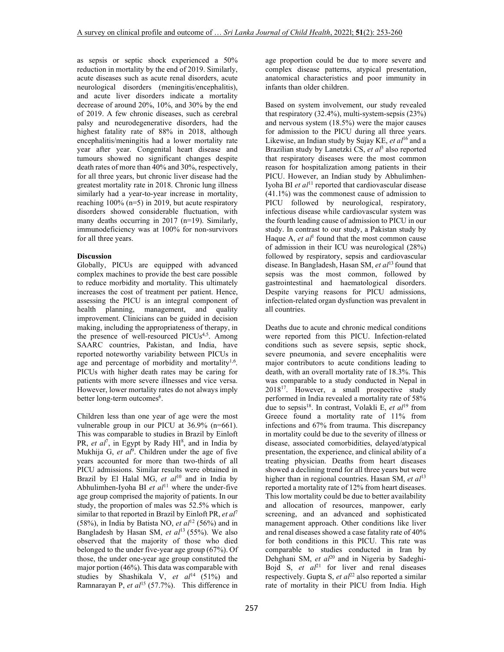as sepsis or septic shock experienced a 50% reduction in mortality by the end of 2019. Similarly, acute diseases such as acute renal disorders, acute neurological disorders (meningitis/encephalitis), and acute liver disorders indicate a mortality decrease of around 20%, 10%, and 30% by the end of 2019. A few chronic diseases, such as cerebral palsy and neurodegenerative disorders, had the highest fatality rate of 88% in 2018, although encephalitis/meningitis had a lower mortality rate year after year. Congenital heart disease and tumours showed no significant changes despite death rates of more than 40% and 30%, respectively, for all three years, but chronic liver disease had the greatest mortality rate in 2018. Chronic lung illness similarly had a year-to-year increase in mortality, reaching 100% (n=5) in 2019, but acute respiratory disorders showed considerable fluctuation, with many deaths occurring in 2017 (n=19). Similarly, immunodeficiency was at 100% for non-survivors for all three years.

## **Discussion**

Globally, PICUs are equipped with advanced complex machines to provide the best care possible to reduce morbidity and mortality. This ultimately increases the cost of treatment per patient. Hence, assessing the PICU is an integral component of health planning, management, and quality improvement. Clinicians can be guided in decision making, including the appropriateness of therapy, in the presence of well-resourced PICUs<sup>4,5</sup>. Among SAARC countries, Pakistan, and India, have reported noteworthy variability between PICUs in age and percentage of morbidity and mortality<sup>1,6</sup>. PICUs with higher death rates may be caring for patients with more severe illnesses and vice versa. However, lower mortality rates do not always imply better long-term outcomes<sup>6</sup>.

Children less than one year of age were the most vulnerable group in our PICU at 36.9% (n=661). This was comparable to studies in Brazil by Einloft PR, et al<sup>7</sup>, in Egypt by Rady HI<sup>8</sup>, and in India by Mukhija G, et al<sup>9</sup>. Children under the age of five years accounted for more than two-thirds of all PICU admissions. Similar results were obtained in Brazil by El Halal MG, *et al*<sup>10</sup> and in India by Abhulimhen-Iyoha BI et al<sup>11</sup> where the under-five age group comprised the majority of patients. In our study, the proportion of males was 52.5% which is similar to that reported in Brazil by Einloft PR, *et al*<sup>7</sup> (58%), in India by Batista NO, *et al*<sup>12</sup> (56%) and in Bangladesh by Hasan SM, et al<sup>13</sup> (55%). We also observed that the majority of those who died belonged to the under five-year age group (67%). Of those, the under one-year age group constituted the major portion (46%). This data was comparable with studies by Shashikala V, et al<sup>14</sup> (51%) and Ramnarayan P, *et al*<sup>15</sup> (57.7%). This difference in age proportion could be due to more severe and complex disease patterns, atypical presentation, anatomical characteristics and poor immunity in infants than older children.

Based on system involvement, our study revealed that respiratory (32.4%), multi-system-sepsis (23%) and nervous system (18.5%) were the major causes for admission to the PICU during all three years. Likewise, an Indian study by Sujay KE, *et al*<sup>16</sup> and a Brazilian study by Lanetzki CS, *et al*<sup>3</sup> also reported that respiratory diseases were the most common reason for hospitalization among patients in their PICU. However, an Indian study by Abhulimhen-Iyoha BI *et al*<sup>11</sup> reported that cardiovascular disease (41.1%) was the commonest cause of admission to PICU followed by neurological, respiratory, infectious disease while cardiovascular system was the fourth leading cause of admission to PICU in our study. In contrast to our study, a Pakistan study by Haque A, *et al*<sup>1</sup> found that the most common cause of admission in their ICU was neurological (28%) followed by respiratory, sepsis and cardiovascular disease. In Bangladesh, Hasan SM, et al<sup>13</sup> found that sepsis was the most common, followed by gastrointestinal and haematological disorders. Despite varying reasons for PICU admissions, infection-related organ dysfunction was prevalent in all countries.

Deaths due to acute and chronic medical conditions were reported from this PICU. Infection-related conditions such as severe sepsis, septic shock, severe pneumonia, and severe encephalitis were major contributors to acute conditions leading to death, with an overall mortality rate of 18.3%. This was comparable to a study conducted in Nepal in 2018<sup>17</sup>. However, a small prospective study performed in India revealed a mortality rate of 58% due to sepsis<sup>18</sup>. In contrast, Volakli E, *et al*<sup>19</sup> from Greece found a mortality rate of 11% from infections and 67% from trauma. This discrepancy in mortality could be due to the severity of illness or disease, associated comorbidities, delayed/atypical presentation, the experience, and clinical ability of a treating physician. Deaths from heart diseases showed a declining trend for all three years but were higher than in regional countries. Hasan SM, et al<sup>13</sup> reported a mortality rate of 12% from heart diseases. This low mortality could be due to better availability and allocation of resources, manpower, early screening, and an advanced and sophisticated management approach. Other conditions like liver and renal diseases showed a case fatality rate of 40% for both conditions in this PICU. This rate was comparable to studies conducted in Iran by Dehghani SM, *et al*<sup>20</sup> and in Nigeria by Sadeghi-Bojd S,  $et \t a l<sup>21</sup>$  for liver and renal diseases respectively. Gupta S,  $et \t a l^{22}$  also reported a similar rate of mortality in their PICU from India. High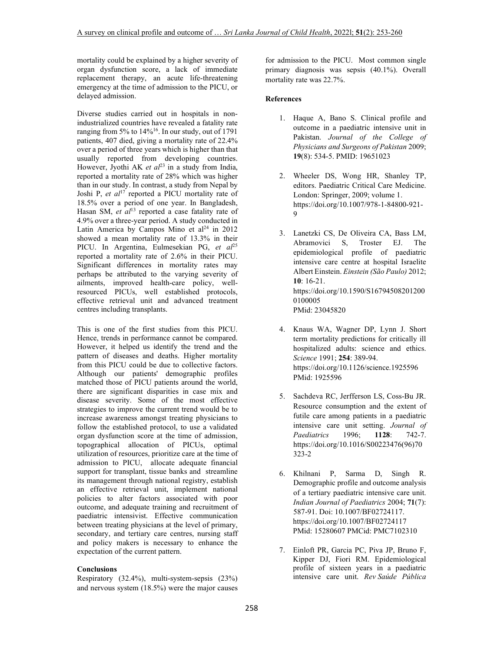mortality could be explained by a higher severity of organ dysfunction score, a lack of immediate replacement therapy, an acute life-threatening emergency at the time of admission to the PICU, or delayed admission.

Diverse studies carried out in hospitals in nonindustrialized countries have revealed a fatality rate ranging from 5% to 14%<sup>16</sup>. In our study, out of 1791 patients, 407 died, giving a mortality rate of 22.4% over a period of three years which is higher than that usually reported from developing countries. However, Jyothi AK *et al*<sup>23</sup> in a study from India, reported a mortality rate of 28% which was higher than in our study. In contrast, a study from Nepal by Joshi P, *et al*<sup>17</sup> reported a PICU mortality rate of 18.5% over a period of one year. In Bangladesh, Hasan SM, *et al*<sup>13</sup> reported a case fatality rate of 4.9% over a three-year period. A study conducted in Latin America by Campos Mino et  $al<sup>24</sup>$  in 2012 showed a mean mortality rate of 13.3% in their PICU. In Argentina, Eulmesekian PG, et al<sup>25</sup> reported a mortality rate of 2.6% in their PICU. Significant differences in mortality rates may perhaps be attributed to the varying severity of ailments, improved health-care policy, wellresourced PICUs, well established protocols, effective retrieval unit and advanced treatment centres including transplants.

This is one of the first studies from this PICU. Hence, trends in performance cannot be compared. However, it helped us identify the trend and the pattern of diseases and deaths. Higher mortality from this PICU could be due to collective factors. Although our patients' demographic profiles matched those of PICU patients around the world, there are significant disparities in case mix and disease severity. Some of the most effective strategies to improve the current trend would be to increase awareness amongst treating physicians to follow the established protocol, to use a validated organ dysfunction score at the time of admission, topographical allocation of PICUs, optimal utilization of resources, prioritize care at the time of admission to PICU, allocate adequate financial support for transplant, tissue banks and streamline its management through national registry, establish an effective retrieval unit, implement national policies to alter factors associated with poor outcome, and adequate training and recruitment of paediatric intensivist. Effective communication between treating physicians at the level of primary, secondary, and tertiary care centres, nursing staff and policy makers is necessary to enhance the expectation of the current pattern.

## **Conclusions**

Respiratory (32.4%), multi-system-sepsis (23%) and nervous system (18.5%) were the major causes

for admission to the PICU. Most common single primary diagnosis was sepsis (40.1%). Overall mortality rate was 22.7%.

### **References**

- 1. Haque A, Bano S. Clinical profile and outcome in a paediatric intensive unit in Pakistan. *Journal of the College of Physicians and Surgeons of Pakistan* 2009; **19**(8): 534-5. PMID: 19651023
- 2. Wheeler DS, Wong HR, Shanley TP, editors. Paediatric Critical Care Medicine. London: Springer, 2009; volume 1. https://doi.org/10.1007/978-1-84800-921- 9
- 3. Lanetzki CS, De Oliveira CA, Bass LM, Abramovici S, Troster EJ. The epidemiological profile of paediatric intensive care centre at hospital Israelite Albert Einstein. *Einstein (São Paulo)* 2012; **10**: 16-21. https://doi.org/10.1590/S16794508201200 0100005 PMid: 23045820
- 4. Knaus WA, Wagner DP, Lynn J. Short term mortality predictions for critically ill hospitalized adults: science and ethics. *Science* 1991; **254**: 389-94. https://doi.org/10.1126/science.1925596 PMid: 1925596
- 5. Sachdeva RC, Jerfferson LS, Coss-Bu JR. Resource consumption and the extent of futile care among patients in a paediatric intensive care unit setting. *Journal of Paediatrics* 1996; **1128**: 742-7. https://doi.org/10.1016/S00223476(96)70 323-2
- 6. Khilnani P, Sarma D, Singh R. Demographic profile and outcome analysis of a tertiary paediatric intensive care unit. *Indian Journal of Paediatrics* 2004; **71**(7): 587-91. Doi: 10.1007/BF02724117. https://doi.org/10.1007/BF02724117 PMid: 15280607 PMCid: PMC7102310
- 7. Einloft PR, Garcia PC, Piva JP, Bruno F, Kipper DJ, Fiori RM. Epidemiological profile of sixteen years in a paediatric intensive care unit. *Rev Saúde Pública*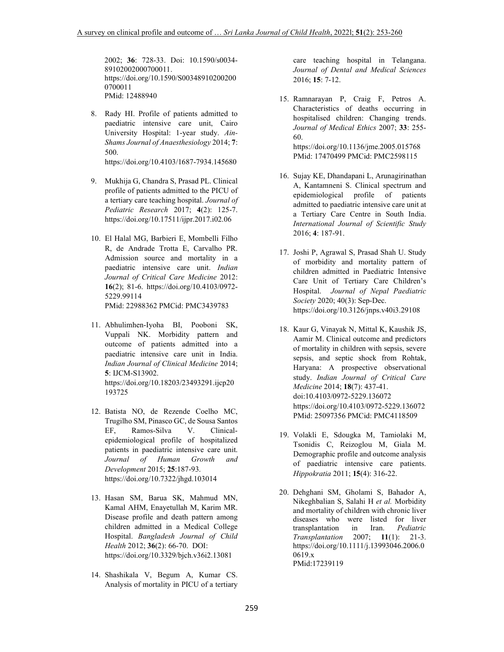2002; **36**: 728-33. Doi: 10.1590/s0034- 89102002000700011. https://doi.org/10.1590/S00348910200200 0700011 PMid: 12488940

- 8. Rady HI. Profile of patients admitted to paediatric intensive care unit, Cairo University Hospital: 1-year study. *Ain-Shams Journal of Anaesthesiology* 2014; **7**: 500. https://doi.org/10.4103/1687-7934.145680
- 9. Mukhija G, Chandra S, Prasad PL. Clinical profile of patients admitted to the PICU of a tertiary care teaching hospital. *Journal of Pediatric Research* 2017; **4**(2): 125-7. https://doi.org/10.17511/ijpr.2017.i02.06
- 10. El Halal MG, Barbieri E, Mombelli Filho R, de Andrade Trotta E, Carvalho PR. Admission source and mortality in a paediatric intensive care unit. *Indian Journal of Critical Care Medicine* 2012: **16**(2); 81-6. https://doi.org/10.4103/0972- 5229.99114

PMid: 22988362 PMCid: PMC3439783

- 11. Abhulimhen-Iyoha BI, Pooboni SK, Vuppali NK. Morbidity pattern and outcome of patients admitted into a paediatric intensive care unit in India. *Indian Journal of Clinical Medicine* 2014; **5**: IJCM-S13902. https://doi.org/10.18203/23493291.ijcp20 193725
- 12. Batista NO, de Rezende Coelho MC, Trugilho SM, Pinasco GC, de Sousa Santos EF, Ramos-Silva V. Clinicalepidemiological profile of hospitalized patients in paediatric intensive care unit. *Journal of Human Growth and Development* 2015; **25**:187-93. https://doi.org/10.7322/jhgd.103014
- 13. Hasan SM, Barua SK, Mahmud MN, Kamal AHM, Enayetullah M, Karim MR. Disease profile and death pattern among children admitted in a Medical College Hospital. *Bangladesh Journal of Child Health* 2012; **36**(2): 66-70. DOI: https://doi.org/10.3329/bjch.v36i2.13081
- 14. Shashikala V, Begum A, Kumar CS. Analysis of mortality in PICU of a tertiary

care teaching hospital in Telangana. *Journal of Dental and Medical Sciences* 2016; **15**: 7-12.

- 15. Ramnarayan P, Craig F, Petros A. Characteristics of deaths occurring in hospitalised children: Changing trends. *Journal of Medical Ethics* 2007; **33**: 255- 60. https://doi.org/10.1136/jme.2005.015768 PMid: 17470499 PMCid: PMC2598115
- 16. Sujay KE, Dhandapani L, Arunagirinathan A, Kantamneni S. Clinical spectrum and epidemiological profile of patients admitted to paediatric intensive care unit at a Tertiary Care Centre in South India. *International Journal of Scientific Study* 2016; **4**: 187-91.
- 17. Joshi P, Agrawal S, Prasad Shah U. Study of morbidity and mortality pattern of children admitted in Paediatric Intensive Care Unit of Tertiary Care Children's Hospital. *Journal of Nepal Paediatric Society* 2020; 40(3): Sep-Dec. https://doi.org/10.3126/jnps.v40i3.29108
- 18. Kaur G, Vinayak N, Mittal K, Kaushik JS, Aamir M. Clinical outcome and predictors of mortality in children with sepsis, severe sepsis, and septic shock from Rohtak, Haryana: A prospective observational study. *Indian Journal of Critical Care Medicine* 2014; **18**(7): 437-41. doi:10.4103/0972-5229.136072 https://doi.org/10.4103/0972-5229.136072 PMid: 25097356 PMCid: PMC4118509
- 19. Volakli E, Sdougka M, Tamiolaki M, Tsonidis C, Reizoglou M, Giala M. Demographic profile and outcome analysis of paediatric intensive care patients. *Hippokratia* 2011; **15**(4): 316-22.
- 20. Dehghani SM, Gholami S, Bahador A, Nikeghbalian S, Salahi H *et al.* Morbidity and mortality of children with chronic liver diseases who were listed for liver transplantation in Iran. *Pediatric Transplantation* 2007; **11**(1): 21-3. https://doi.org/10.1111/j.13993046.2006.0 0619.x PMid:17239119